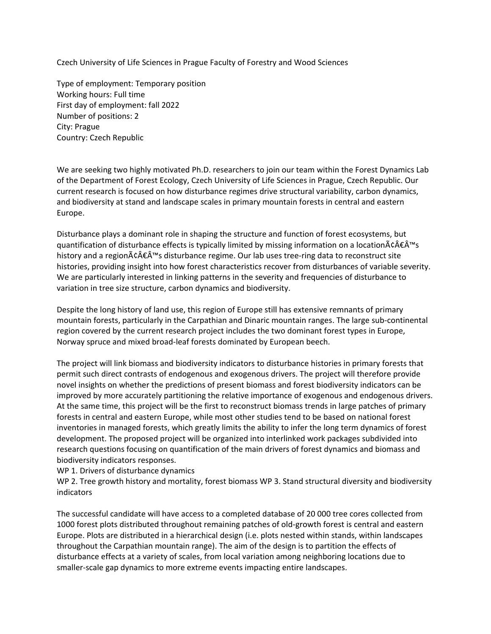Czech University of Life Sciences in Prague Faculty of Forestry and Wood Sciences

Type of employment: Temporary position Working hours: Full time First day of employment: fall 2022 Number of positions: 2 City: Prague Country: Czech Republic

We are seeking two highly motivated Ph.D. researchers to join our team within the Forest Dynamics Lab of the Department of Forest Ecology, Czech University of Life Sciences in Prague, Czech Republic. Our current research is focused on how disturbance regimes drive structural variability, carbon dynamics, and biodiversity at stand and landscape scales in primary mountain forests in central and eastern Europe.

Disturbance plays a dominant role in shaping the structure and function of forest ecosystems, but quantification of disturbance effects is typically limited by missing information on a location $\tilde{A} \in \hat{A}^{\text{tm}}$ s history and a region $\tilde{A}\in \hat{A}^{\text{m}}$ s disturbance regime. Our lab uses tree-ring data to reconstruct site histories, providing insight into how forest characteristics recover from disturbances of variable severity. We are particularly interested in linking patterns in the severity and frequencies of disturbance to variation in tree size structure, carbon dynamics and biodiversity.

Despite the long history of land use, this region of Europe still has extensive remnants of primary mountain forests, particularly in the Carpathian and Dinaric mountain ranges. The large sub-continental region covered by the current research project includes the two dominant forest types in Europe, Norway spruce and mixed broad-leaf forests dominated by European beech.

The project will link biomass and biodiversity indicators to disturbance histories in primary forests that permit such direct contrasts of endogenous and exogenous drivers. The project will therefore provide novel insights on whether the predictions of present biomass and forest biodiversity indicators can be improved by more accurately partitioning the relative importance of exogenous and endogenous drivers. At the same time, this project will be the first to reconstruct biomass trends in large patches of primary forests in central and eastern Europe, while most other studies tend to be based on national forest inventories in managed forests, which greatly limits the ability to infer the long term dynamics of forest development. The proposed project will be organized into interlinked work packages subdivided into research questions focusing on quantification of the main drivers of forest dynamics and biomass and biodiversity indicators responses.

WP 1. Drivers of disturbance dynamics

WP 2. Tree growth history and mortality, forest biomass WP 3. Stand structural diversity and biodiversity indicators

The successful candidate will have access to a completed database of 20 000 tree cores collected from 1000 forest plots distributed throughout remaining patches of old-growth forest is central and eastern Europe. Plots are distributed in a hierarchical design (i.e. plots nested within stands, within landscapes throughout the Carpathian mountain range). The aim of the design is to partition the effects of disturbance effects at a variety of scales, from local variation among neighboring locations due to smaller-scale gap dynamics to more extreme events impacting entire landscapes.